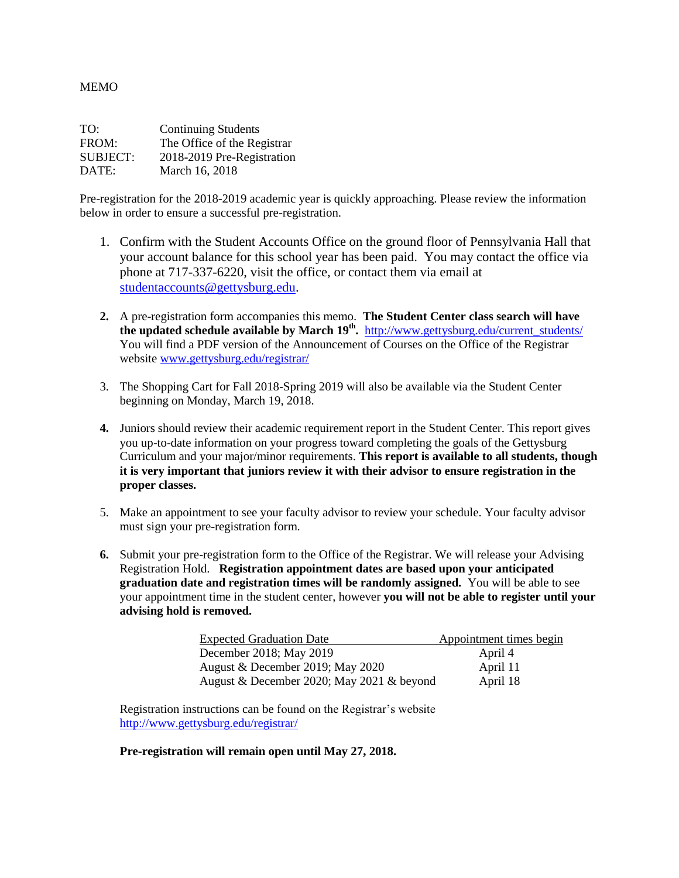MEMO

| TO:             | <b>Continuing Students</b>  |
|-----------------|-----------------------------|
| FROM:           | The Office of the Registrar |
| <b>SUBJECT:</b> | 2018-2019 Pre-Registration  |
| DATE:           | March 16, 2018              |

Pre-registration for the 2018-2019 academic year is quickly approaching. Please review the information below in order to ensure a successful pre-registration.

- 1. Confirm with the Student Accounts Office on the ground floor of Pennsylvania Hall that your account balance for this school year has been paid. You may contact the office via phone at 717-337-6220, visit the office, or contact them via email at [studentaccounts@gettysburg.edu.](mailto:studentaccounts@gettysburg.edu)
- **2.** A pre-registration form accompanies this memo. **The Student Center class search will have the updated schedule available by March 19th .** [http://www.gettysburg.edu/current\\_students/](http://www.gettysburg.edu/current_students/) You will find a PDF version of the Announcement of Courses on the Office of the Registrar website [www.gettysburg.edu/registrar/](http://www.gettysburg.edu/registrar/)
- 3. The Shopping Cart for Fall 2018-Spring 2019 will also be available via the Student Center beginning on Monday, March 19, 2018.
- **4.** Juniors should review their academic requirement report in the Student Center. This report gives you up-to-date information on your progress toward completing the goals of the Gettysburg Curriculum and your major/minor requirements. **This report is available to all students, though it is very important that juniors review it with their advisor to ensure registration in the proper classes.**
- 5. Make an appointment to see your faculty advisor to review your schedule. Your faculty advisor must sign your pre-registration form.
- **6.** Submit your pre-registration form to the Office of the Registrar. We will release your Advising Registration Hold. **Registration appointment dates are based upon your anticipated graduation date and registration times will be randomly assigned.** You will be able to see your appointment time in the student center, however **you will not be able to register until your advising hold is removed.**

| <b>Expected Graduation Date</b>           | Appointment times begin |
|-------------------------------------------|-------------------------|
| December 2018; May 2019                   | April 4                 |
| August & December 2019; May 2020          | April 11                |
| August & December 2020; May 2021 & beyond | April 18                |

Registration instructions can be found on the Registrar's website <http://www.gettysburg.edu/registrar/>

## **Pre-registration will remain open until May 27, 2018.**